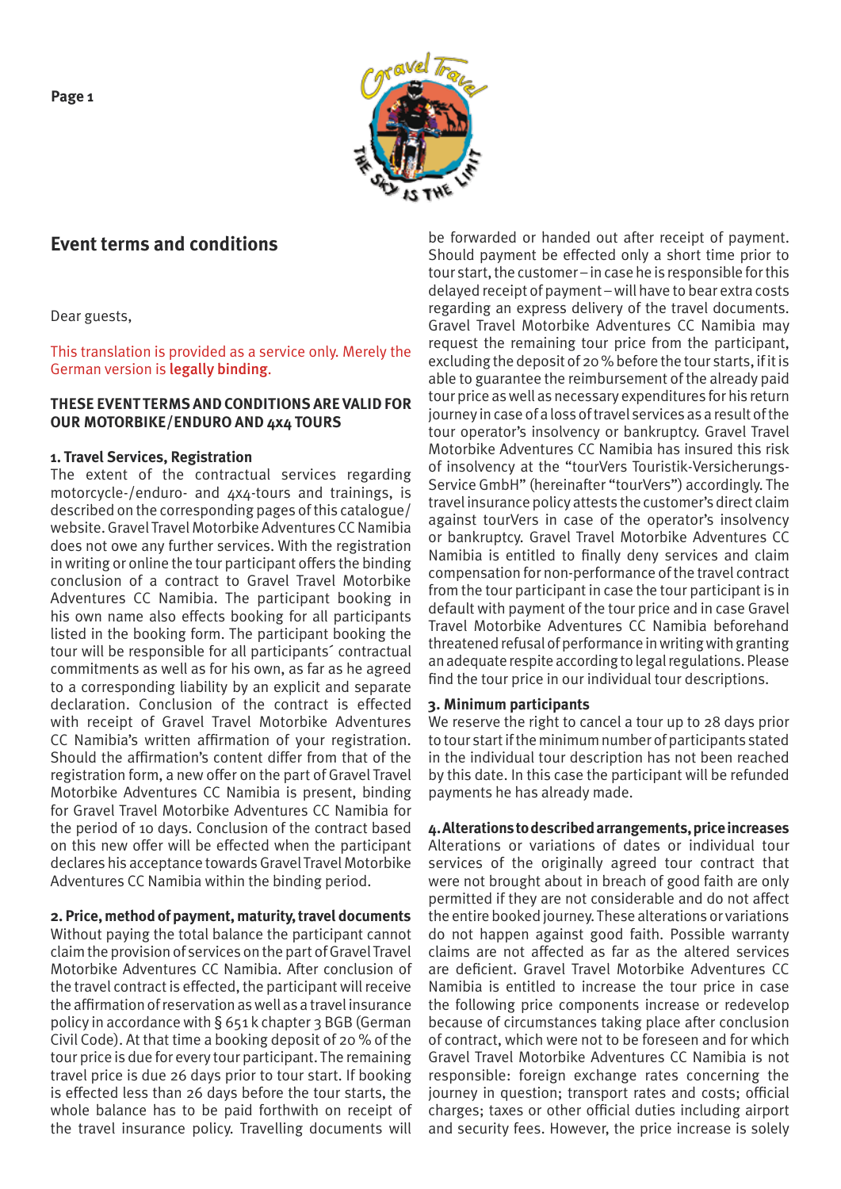**Page 1**



# **Event terms and conditions**

Dear guests,

This translation is provided as a service only. Merely the German version is legally binding.

## **THESE EVENT TERMS AND CONDITIONS ARE VALID FOR OUR MOTORBIKE/ENDURO AND 4x4 TOURS**

## **1. Travel Services, Registration**

The extent of the contractual services regarding motorcycle-/enduro- and 4x4-tours and trainings, is described on the corresponding pages of this catalogue/ website. Gravel Travel Motorbike Adventures CC Namibia does not owe any further services. With the registration in writing or online the tour participant offers the binding conclusion of a contract to Gravel Travel Motorbike Adventures CC Namibia. The participant booking in his own name also effects booking for all participants listed in the booking form. The participant booking the tour will be responsible for all participants´ contractual commitments as well as for his own, as far as he agreed to a corresponding liability by an explicit and separate declaration. Conclusion of the contract is effected with receipt of Gravel Travel Motorbike Adventures CC Namibia's written affirmation of your registration. Should the affirmation's content differ from that of the registration form, a new offer on the part of Gravel Travel Motorbike Adventures CC Namibia is present, binding for Gravel Travel Motorbike Adventures CC Namibia for the period of 10 days. Conclusion of the contract based on this new offer will be effected when the participant declares his acceptance towards Gravel Travel Motorbike Adventures CC Namibia within the binding period.

# **2. Price, method of payment, maturity, travel documents**

Without paying the total balance the participant cannot claim the provision of services on the part of Gravel Travel Motorbike Adventures CC Namibia. After conclusion of the travel contract is effected, the participant will receive the affirmation of reservation as well as a travel insurance policy in accordance with § 651 k chapter 3 BGB (German Civil Code). At that time a booking deposit of 20 % of the tour price is due for every tour participant. The remaining travel price is due 26 days prior to tour start. If booking is effected less than 26 days before the tour starts, the whole balance has to be paid forthwith on receipt of the travel insurance policy. Travelling documents will

be forwarded or handed out after receipt of payment. Should payment be effected only a short time prior to tour start, the customer – in case he is responsible for this delayed receipt of payment – will have to bear extra costs regarding an express delivery of the travel documents. Gravel Travel Motorbike Adventures CC Namibia may request the remaining tour price from the participant, excluding the deposit of 20 % before the tour starts, if it is able to guarantee the reimbursement of the already paid tour price as well as necessary expenditures for his return journey in case of a loss of travel services as a result of the tour operator's insolvency or bankruptcy. Gravel Travel Motorbike Adventures CC Namibia has insured this risk of insolvency at the "tourVers Touristik-Versicherungs-Service GmbH" (hereinafter "tourVers") accordingly. The travel insurance policy attests the customer's direct claim against tourVers in case of the operator's insolvency or bankruptcy. Gravel Travel Motorbike Adventures CC Namibia is entitled to finally deny services and claim compensation for non-performance of the travel contract from the tour participant in case the tour participant is in default with payment of the tour price and in case Gravel Travel Motorbike Adventures CC Namibia beforehand threatened refusal of performance in writing with granting an adequate respite according to legal regulations. Please find the tour price in our individual tour descriptions.

# **3. Minimum participants**

We reserve the right to cancel a tour up to 28 days prior to tour start if the minimum number of participants stated in the individual tour description has not been reached by this date. In this case the participant will be refunded payments he has already made.

**4. Alterations to described arrangements, price increases** Alterations or variations of dates or individual tour services of the originally agreed tour contract that were not brought about in breach of good faith are only permitted if they are not considerable and do not affect the entire booked journey. These alterations or variations do not happen against good faith. Possible warranty claims are not affected as far as the altered services are deficient. Gravel Travel Motorbike Adventures CC Namibia is entitled to increase the tour price in case the following price components increase or redevelop because of circumstances taking place after conclusion of contract, which were not to be foreseen and for which Gravel Travel Motorbike Adventures CC Namibia is not responsible: foreign exchange rates concerning the journey in question; transport rates and costs; official charges; taxes or other official duties including airport and security fees. However, the price increase is solely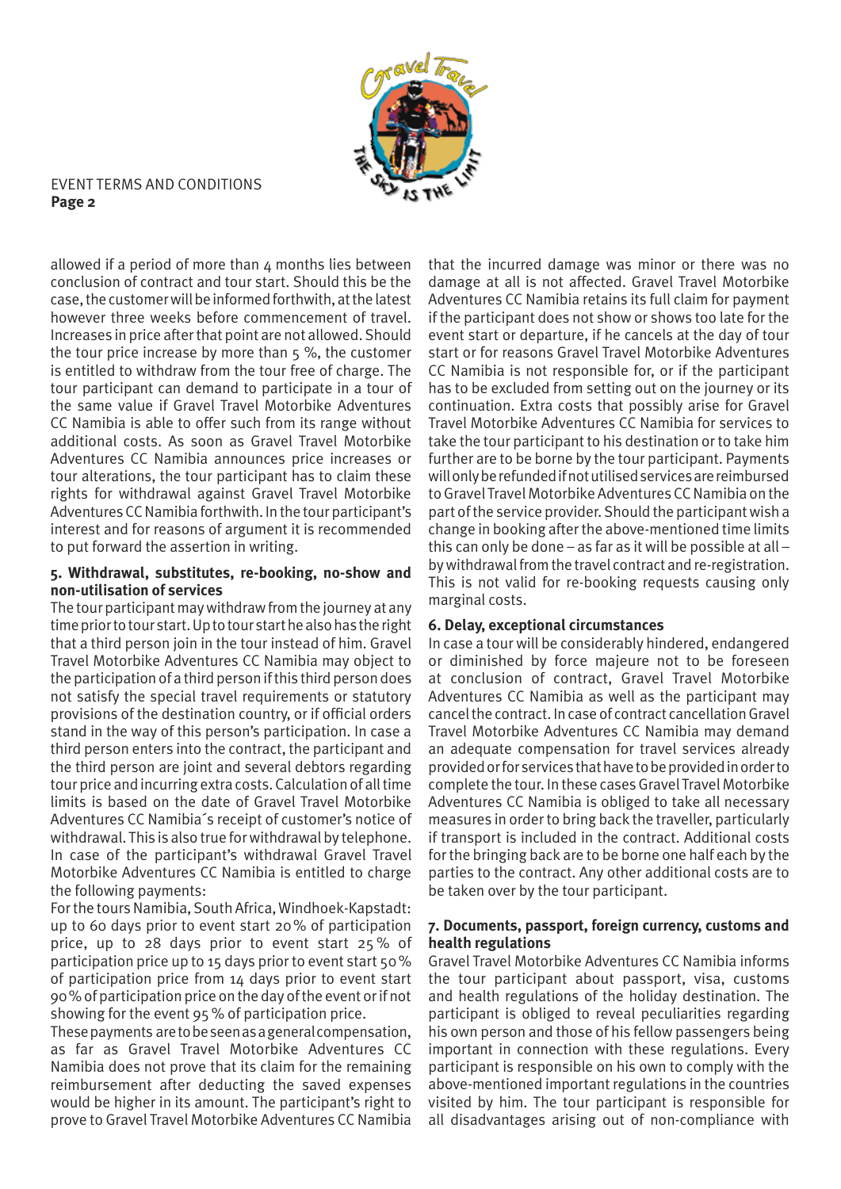

allowed if a period of more than  $4$  months lies between conclusion of contract and tour start. Should this be the case, the customer will be informed forthwith, at the latest however three weeks before commencement of travel. Increases in price after that point are not allowed. Should the tour price increase by more than 5 %, the customer is entitled to withdraw from the tour free of charge. The tour participant can demand to participate in a tour of the same value if Gravel Travel Motorbike Adventures CC Namibia is able to offer such from its range without additional costs. As soon as Gravel Travel Motorbike Adventures CC Namibia announces price increases or tour alterations, the tour participant has to claim these rights for withdrawal against Gravel Travel Motorbike Adventures CC Namibia forthwith. In the tour participant's interest and for reasons of argument it is recommended to put forward the assertion in writing.

## **5. Withdrawal, substitutes, re-booking, no-show and non-utilisation of services**

The tour participant may withdraw from the journey at any time prior to tour start. Up to tour start he also has the right that a third person join in the tour instead of him. Gravel Travel Motorbike Adventures CC Namibia may object to the participation of a third person if this third person does not satisfy the special travel requirements or statutory provisions of the destination country, or if official orders stand in the way of this person's participation. In case a third person enters into the contract, the participant and the third person are joint and several debtors regarding tour price and incurring extra costs. Calculation of all time limits is based on the date of Gravel Travel Motorbike Adventures CC Namibia´s receipt of customer's notice of withdrawal. This is also true for withdrawal by telephone. In case of the participant's withdrawal Gravel Travel Motorbike Adventures CC Namibia is entitled to charge the following payments:

For the tours Namibia, South Africa, Windhoek-Kapstadt: up to 60 days prior to event start 20% of participation price, up to 28 days prior to event start 25 % of participation price up to 15 days prior to event start 50% of participation price from 14 days prior to event start 90% of participation price on the day of the event or if not showing for the event 95% of participation price.

These payments are to be seen as a general compensation, as far as Gravel Travel Motorbike Adventures CC Namibia does not prove that its claim for the remaining reimbursement after deducting the saved expenses would be higher in its amount. The participant's right to prove to Gravel Travel Motorbike Adventures CC Namibia

that the incurred damage was minor or there was no damage at all is not affected. Gravel Travel Motorbike Adventures CC Namibia retains its full claim for payment if the participant does not show or shows too late for the event start or departure, if he cancels at the day of tour start or for reasons Gravel Travel Motorbike Adventures CC Namibia is not responsible for, or if the participant has to be excluded from setting out on the journey or its continuation. Extra costs that possibly arise for Gravel Travel Motorbike Adventures CC Namibia for services to take the tour participant to his destination or to take him further are to be borne by the tour participant. Payments will only be refunded if not utilised services are reimbursed to Gravel Travel Motorbike Adventures CC Namibia on the part of the service provider. Should the participant wish a change in booking after the above-mentioned time limits this can only be done – as far as it will be possible at all – by withdrawal from the travel contract and re-registration. This is not valid for re-booking requests causing only marginal costs.

# **6. Delay, exceptional circumstances**

In case a tour will be considerably hindered, endangered or diminished by force majeure not to be foreseen at conclusion of contract, Gravel Travel Motorbike Adventures CC Namibia as well as the participant may cancel the contract. In case of contract cancellation Gravel Travel Motorbike Adventures CC Namibia may demand an adequate compensation for travel services already provided or for services that have to be provided in order to complete the tour. In these cases Gravel Travel Motorbike Adventures CC Namibia is obliged to take all necessary measures in order to bring back the traveller, particularly if transport is included in the contract. Additional costs for the bringing back are to be borne one half each by the parties to the contract. Any other additional costs are to be taken over by the tour participant.

# **7. Documents, passport, foreign currency, customs and health regulations**

Gravel Travel Motorbike Adventures CC Namibia informs the tour participant about passport, visa, customs and health regulations of the holiday destination. The participant is obliged to reveal peculiarities regarding his own person and those of his fellow passengers being important in connection with these regulations. Every participant is responsible on his own to comply with the above-mentioned important regulations in the countries visited by him. The tour participant is responsible for all disadvantages arising out of non-compliance with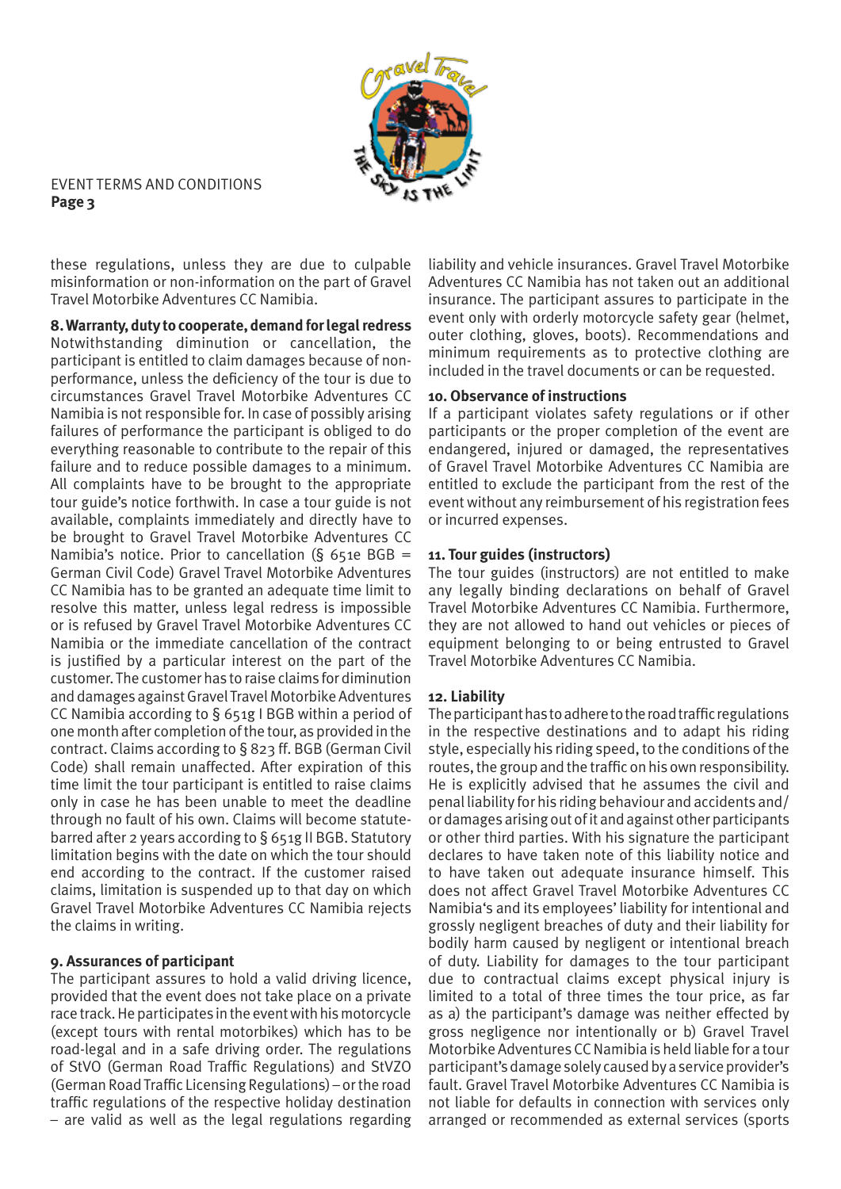

these regulations, unless they are due to culpable misinformation or non-information on the part of Gravel Travel Motorbike Adventures CC Namibia.

**8. Warranty, duty to cooperate, demand for legal redress** Notwithstanding diminution or cancellation, the participant is entitled to claim damages because of nonperformance, unless the deficiency of the tour is due to circumstances Gravel Travel Motorbike Adventures CC Namibia is not responsible for. In case of possibly arising failures of performance the participant is obliged to do everything reasonable to contribute to the repair of this failure and to reduce possible damages to a minimum. All complaints have to be brought to the appropriate tour guide's notice forthwith. In case a tour guide is not available, complaints immediately and directly have to be brought to Gravel Travel Motorbike Adventures CC Namibia's notice. Prior to cancellation (§ 651e BGB = German Civil Code) Gravel Travel Motorbike Adventures CC Namibia has to be granted an adequate time limit to resolve this matter, unless legal redress is impossible or is refused by Gravel Travel Motorbike Adventures CC Namibia or the immediate cancellation of the contract is justified by a particular interest on the part of the customer. The customer has to raise claims for diminution and damages against Gravel Travel Motorbike Adventures CC Namibia according to § 651g I BGB within a period of one month after completion of the tour, as provided in the contract. Claims according to § 823 ff. BGB (German Civil Code) shall remain unaffected. After expiration of this time limit the tour participant is entitled to raise claims only in case he has been unable to meet the deadline through no fault of his own. Claims will become statutebarred after 2 years according to § 651g II BGB. Statutory limitation begins with the date on which the tour should end according to the contract. If the customer raised claims, limitation is suspended up to that day on which Gravel Travel Motorbike Adventures CC Namibia rejects the claims in writing.

# **9. Assurances of participant**

The participant assures to hold a valid driving licence, provided that the event does not take place on a private race track. He participates in the event with his motorcycle (except tours with rental motorbikes) which has to be road-legal and in a safe driving order. The regulations of StVO (German Road Traffic Regulations) and StVZO (German Road Traffic Licensing Regulations) – or the road traffic regulations of the respective holiday destination – are valid as well as the legal regulations regarding

liability and vehicle insurances. Gravel Travel Motorbike Adventures CC Namibia has not taken out an additional insurance. The participant assures to participate in the event only with orderly motorcycle safety gear (helmet, outer clothing, gloves, boots). Recommendations and minimum requirements as to protective clothing are included in the travel documents or can be requested.

#### **10. Observance of instructions**

If a participant violates safety regulations or if other participants or the proper completion of the event are endangered, injured or damaged, the representatives of Gravel Travel Motorbike Adventures CC Namibia are entitled to exclude the participant from the rest of the event without any reimbursement of his registration fees or incurred expenses.

## **11. Tour guides (instructors)**

The tour guides (instructors) are not entitled to make any legally binding declarations on behalf of Gravel Travel Motorbike Adventures CC Namibia. Furthermore, they are not allowed to hand out vehicles or pieces of equipment belonging to or being entrusted to Gravel Travel Motorbike Adventures CC Namibia.

#### **12. Liability**

The participant has to adhere to the road traffic regulations in the respective destinations and to adapt his riding style, especially his riding speed, to the conditions of the routes, the group and the traffic on his own responsibility. He is explicitly advised that he assumes the civil and penal liability for his riding behaviour and accidents and/ or damages arising out of it and against other participants or other third parties. With his signature the participant declares to have taken note of this liability notice and to have taken out adequate insurance himself. This does not affect Gravel Travel Motorbike Adventures CC Namibia's and its employees' liability for intentional and grossly negligent breaches of duty and their liability for bodily harm caused by negligent or intentional breach of duty. Liability for damages to the tour participant due to contractual claims except physical injury is limited to a total of three times the tour price, as far as a) the participant's damage was neither effected by gross negligence nor intentionally or b) Gravel Travel Motorbike Adventures CC Namibia is held liable for a tour participant's damage solely caused by a service provider's fault. Gravel Travel Motorbike Adventures CC Namibia is not liable for defaults in connection with services only arranged or recommended as external services (sports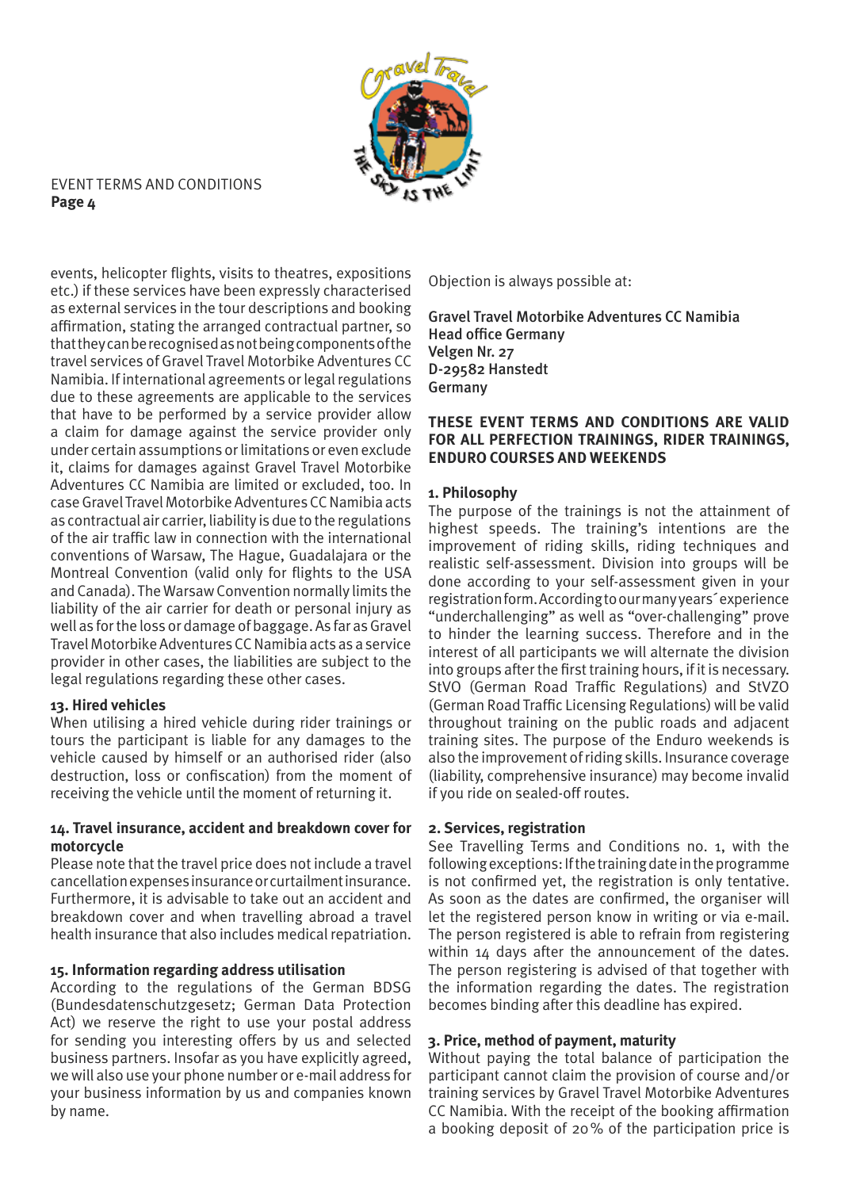

events, helicopter flights, visits to theatres, expositions etc.) if these services have been expressly characterised as external services in the tour descriptions and booking affirmation, stating the arranged contractual partner, so that they can be recognised as not being components of the travel services of Gravel Travel Motorbike Adventures CC Namibia. If international agreements or legal regulations due to these agreements are applicable to the services that have to be performed by a service provider allow a claim for damage against the service provider only under certain assumptions or limitations or even exclude it, claims for damages against Gravel Travel Motorbike Adventures CC Namibia are limited or excluded, too. In case Gravel Travel Motorbike Adventures CC Namibia acts as contractual air carrier, liability is due to the regulations of the air traffic law in connection with the international conventions of Warsaw, The Hague, Guadalajara or the Montreal Convention (valid only for flights to the USA and Canada). The Warsaw Convention normally limits the liability of the air carrier for death or personal injury as well as for the loss or damage of baggage. As far as Gravel Travel Motorbike Adventures CC Namibia acts as a service provider in other cases, the liabilities are subject to the legal regulations regarding these other cases.

# **13. Hired vehicles**

When utilising a hired vehicle during rider trainings or tours the participant is liable for any damages to the vehicle caused by himself or an authorised rider (also destruction, loss or confiscation) from the moment of receiving the vehicle until the moment of returning it.

#### **14. Travel insurance, accident and breakdown cover for motorcycle**

Please note that the travel price does not include a travel cancellation expenses insurance or curtailment insurance. Furthermore, it is advisable to take out an accident and breakdown cover and when travelling abroad a travel health insurance that also includes medical repatriation.

#### **15. Information regarding address utilisation**

According to the regulations of the German BDSG (Bundesdatenschutzgesetz; German Data Protection Act) we reserve the right to use your postal address for sending you interesting offers by us and selected business partners. Insofar as you have explicitly agreed, we will also use your phone number or e-mail address for your business information by us and companies known by name.

Objection is always possible at:

Gravel Travel Motorbike Adventures CC Namibia Head office Germany Velgen Nr. 27 D-29582 Hanstedt Germany

#### **THESE EVENT TERMS AND CONDITIONS ARE VALID FOR ALL PERFECTION TRAININGS, RIDER TRAININGS, ENDURO COURSES AND WEEKENDS**

## **1. Philosophy**

The purpose of the trainings is not the attainment of highest speeds. The training's intentions are the improvement of riding skills, riding techniques and realistic self-assessment. Division into groups will be done according to your self-assessment given in your registration form. According to our many years´ experience "underchallenging" as well as "over-challenging" prove to hinder the learning success. Therefore and in the interest of all participants we will alternate the division into groups after the first training hours, if it is necessary. StVO (German Road Traffic Regulations) and StVZO (German Road Traffic Licensing Regulations) will be valid throughout training on the public roads and adjacent training sites. The purpose of the Enduro weekends is also the improvement of riding skills. Insurance coverage (liability, comprehensive insurance) may become invalid if you ride on sealed-off routes.

#### **2. Services, registration**

See Travelling Terms and Conditions no. 1, with the following exceptions: If the training date in the programme is not confirmed yet, the registration is only tentative. As soon as the dates are confirmed, the organiser will let the registered person know in writing or via e-mail. The person registered is able to refrain from registering within 14 days after the announcement of the dates. The person registering is advised of that together with the information regarding the dates. The registration becomes binding after this deadline has expired.

#### **3. Price, method of payment, maturity**

Without paying the total balance of participation the participant cannot claim the provision of course and/or training services by Gravel Travel Motorbike Adventures CC Namibia. With the receipt of the booking affirmation a booking deposit of 20% of the participation price is